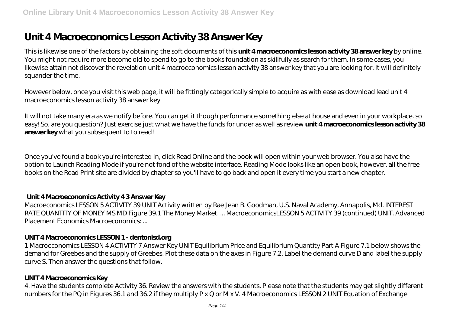# **Unit 4 Macroeconomics Lesson Activity 38 Answer Key**

This is likewise one of the factors by obtaining the soft documents of this **unit 4 macroeconomics lesson activity 38 answer key** by online. You might not require more become old to spend to go to the books foundation as skillfully as search for them. In some cases, you likewise attain not discover the revelation unit 4 macroeconomics lesson activity 38 answer key that you are looking for. It will definitely squander the time.

However below, once you visit this web page, it will be fittingly categorically simple to acquire as with ease as download lead unit 4 macroeconomics lesson activity 38 answer key

It will not take many era as we notify before. You can get it though performance something else at house and even in your workplace. so easy! So, are you question? Just exercise just what we have the funds for under as well as review **unit 4 macroeconomics lesson activity 38 answer key** what you subsequent to to read!

Once you've found a book you're interested in, click Read Online and the book will open within your web browser. You also have the option to Launch Reading Mode if you're not fond of the website interface. Reading Mode looks like an open book, however, all the free books on the Read Print site are divided by chapter so you'll have to go back and open it every time you start a new chapter.

## **Unit 4 Macroeconomics Activity 4 3 Answer Key**

Macroeconomics LESSON 5 ACTIVITY 39 UNIT Activity written by Rae Jean B. Goodman, U.S. Naval Academy, Annapolis, Md. INTEREST RATE QUANTITY OF MONEY MS MD Figure 39.1 The Money Market. ... MacroeconomicsLESSON 5 ACTIVITY 39 (continued) UNIT. Advanced Placement Economics Macroeconomics: ...

## **UNIT 4 Macroeconomics LESSON 1 - dentonisd.org**

1 Macroeconomics LESSON 4 ACTIVITY 7 Answer Key UNIT Equilibrium Price and Equilibrium Quantity Part A Figure 7.1 below shows the demand for Greebes and the supply of Greebes. Plot these data on the axes in Figure 7.2. Label the demand curve D and label the supply curve S. Then answer the questions that follow.

## **UNIT 4 Macroeconomics Key**

4. Have the students complete Activity 36. Review the answers with the students. Please note that the students may get slightly different numbers for the PQ in Figures 36.1 and 36.2 if they multiply P x Q or M x V. 4 Macroeconomics LESSON 2 UNIT Equation of Exchange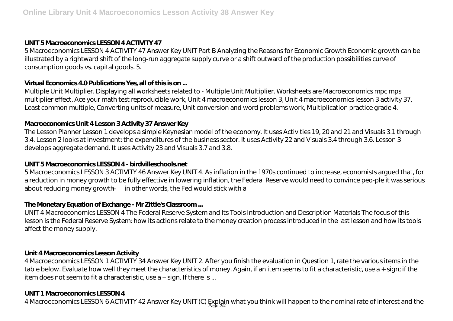# **UNIT 5 Macroeconomics LESSON 4 ACTIVITY 47**

5 Macroeconomics LESSON 4 ACTIVITY 47 Answer Key UNIT Part B Analyzing the Reasons for Economic Growth Economic growth can be illustrated by a rightward shift of the long-run aggregate supply curve or a shift outward of the production possibilities curve of consumption goods vs. capital goods. 5.

# **Virtual Economics 4.0 Publications Yes, all of this is on ...**

Multiple Unit Multiplier. Displaying all worksheets related to - Multiple Unit Multiplier. Worksheets are Macroeconomics mpc mps multiplier effect, Ace your math test reproducible work, Unit 4 macroeconomics lesson 3, Unit 4 macroeconomics lesson 3 activity 37, Least common multiple, Converting units of measure, Unit conversion and word problems work, Multiplication practice grade 4.

# **Macroeconomics Unit 4 Lesson 3 Activity 37 Answer Key**

The Lesson Planner Lesson 1 develops a simple Keynesian model of the economy. It uses Activities 19, 20 and 21 and Visuals 3.1 through 3.4. Lesson 2 looks at investment: the expenditures of the business sector. It uses Activity 22 and Visuals 3.4 through 3.6. Lesson 3 develops aggregate demand. It uses Activity 23 and Visuals 3.7 and 3.8.

# **UNIT 5 Macroeconomics LESSON 4 - birdvilleschools.net**

5 Macroeconomics LESSON 3 ACTIVITY 46 Answer Key UNIT 4. As inflation in the 1970s continued to increase, economists argued that, for a reduction in money growth to be fully effective in lowering inflation, the Federal Reserve would need to convince peo-ple it was serious about reducing money growth — in other words, the Fed would stick with a

# **The Monetary Equation of Exchange - Mr Zittle's Classroom ...**

UNIT 4 Macroeconomics LESSON 4 The Federal Reserve System and Its Tools Introduction and Description Materials The focus of this lesson is the Federal Reserve System: how its actions relate to the money creation process introduced in the last lesson and how its tools affect the money supply.

# **Unit 4 Macroeconomics Lesson Activity**

4 Macroeconomics LESSON 1 ACTIVITY 34 Answer Key UNIT 2. After you finish the evaluation in Question 1, rate the various items in the table below. Evaluate how well they meet the characteristics of money. Again, if an item seems to fit a characteristic, use a + sign; if the item does not seem to fit a characteristic, use a – sign. If there is ...

# **UNIT 1 Macroeconomics LESSON 4**

4 Macroeconomics LESSON 6 ACTIVITY 42 Answer Key UNIT (C) Explain what you think will happen to the nominal rate of interest and the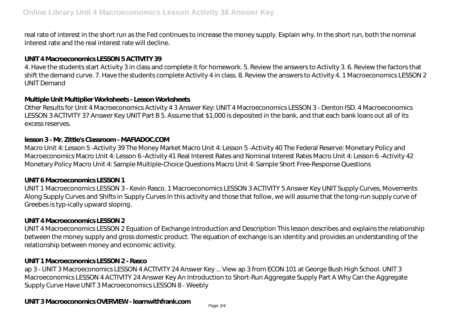real rate of interest in the short run as the Fed continues to increase the money supply. Explain why. In the short run, both the nominal interest rate and the real interest rate will decline.

## **UNIT 4 Macroeconomics LESSON 5 ACTIVITY 39**

4. Have the students start Activity 3 in class and complete it for homework. 5. Review the answers to Activity 3. 6. Review the factors that shift the demand curve. 7. Have the students complete Activity 4 in class. 8. Review the answers to Activity 4. 1 Macroeconomics LESSON 2 UNIT Demand

## **Multiple Unit Multiplier Worksheets - Lesson Worksheets**

Other Results for Unit 4 Macroeconomics Activity 4 3 Answer Key: UNIT 4 Macroeconomics LESSON 3 - Denton ISD. 4 Macroeconomics LESSON 3 ACTIVITY 37 Answer Key UNIT Part B 5. Assume that \$1,000 is deposited in the bank, and that each bank loans out all of its excess reserves.

## **lesson 3 - Mr. Zittle's Classroom - MAFIADOC.COM**

Macro Unit 4: Lesson 5 -Activity 39 The Money Market Macro Unit 4: Lesson 5 -Activity 40 The Federal Reserve: Monetary Policy and Macroeconomics Macro Unit 4: Lesson 6 -Activity 41 Real Interest Rates and Nominal Interest Rates Macro Unit 4: Lesson 6 -Activity 42 Monetary Policy Macro Unit 4: Sample Multiple-Choice Questions Macro Unit 4: Sample Short Free-Response Questions

## **UNIT 6 Macroeconomics LESSON 1**

UNIT 1 Macroeconomics LESSON 3 - Kevin Rasco. 1 Macroeconomics LESSON 3 ACTIVITY 5 Answer Key UNIT Supply Curves, Movements Along Supply Curves and Shifts in Supply Curves In this activity and those that follow, we will assume that the long-run supply curve of Greebes is typ-ically upward sloping.

## **UNIT 4 Macroeconomics LESSON 2**

UNIT 4 Macroeconomics LESSON 2 Equation of Exchange Introduction and Description This lesson describes and explains the relationship between the money supply and gross domestic product. The equation of exchange is an identity and provides an understanding of the relationship between money and economic activity.

#### **UNIT 1 Macroeconomics LESSON 2 - Rasco**

ap 3 - UNIT 3 Macroeconomics LESSON 4 ACTIVITY 24 Answer Key ... View ap 3 from ECON 101 at George Bush High School. UNIT 3 Macroeconomics LESSON 4 ACTIVITY 24 Answer Key An Introduction to Short-Run Aggregate Supply Part A Why Can the Aggregate Supply Curve Have UNIT 3 Macroeconomics LESSON 8 - Weebly

# **UNIT 3 Macroeconomics OVERVIEW - learnwithfrank.com**